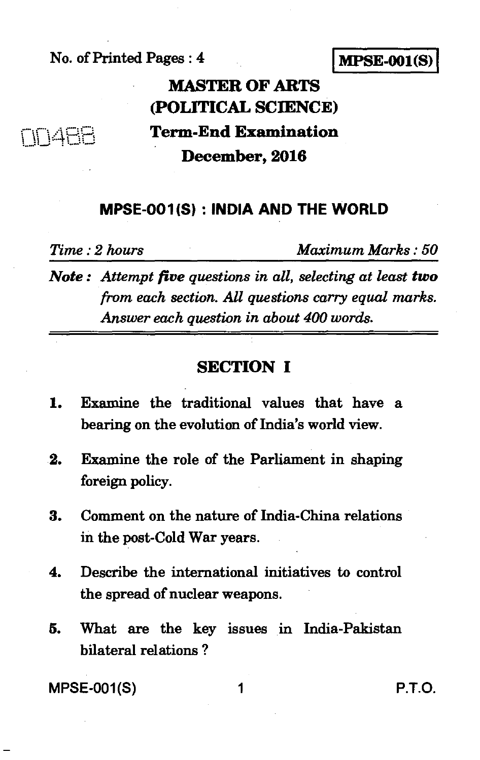#### No. of Printed Pages : 4 **I MPSE-001(S) <sup>I</sup>**

# **MASTER OF ARTS (POLITICAL SCIENCE) Term-End Examination December, 2016**

### **MPSE-001(S) : INDIA AND THE WORLD**

**<sup>1</sup>**I/

*Time : 2 hours Maximum Marks : 50* 

*Note : Attempt five questions in all, selecting at least two from each section. All questions carry equal marks. Answer each question in about 400 words.* 

### **SECTION I**

- 1. Examine the traditional values that have a bearing on the evolution of India's world view.
- 2. Examine the role of the Parliament in shaping foreign policy.
- 3. Comment on the nature of India-China relations in the post-Cold War years.
- 4. Describe the international initiatives to control the spread of nuclear weapons.
- 5. What are the key issues in India-Pakistan bilateral relations ?

MPSE-001(S) 1 P.T.O.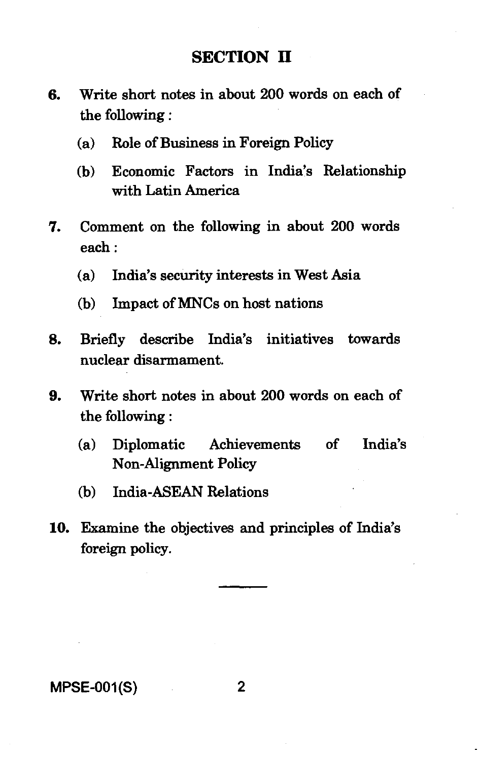#### **SECTION II**

- **6.** Write short notes in about 200 words on each of the following :
	- (a) Role of Business in Foreign Policy
	- (b) Economic Factors in India's Relationship with Latin America
- **7.** Comment on the following in about 200 words each :
	- (a) India's security interests in West Asia
	- (b) Impact of MNCs on host nations
- **8.** Briefly describe India's initiatives towards nuclear disarmament.
- **9.** Write short notes in about 200 words on each of the following
	- (a) Diplomatic Achievements of India's Non-Alignment Policy
	- (b) India-ASEAN Relations
- **10.** Examine the objectives and principles of India's foreign policy.

#### MPSE-001(S) 2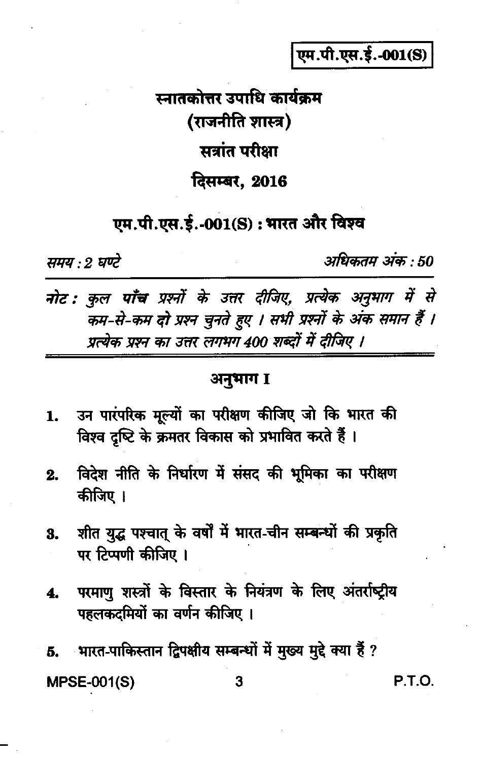एम.पी.एस.ई.-001(S)

स्नातकोत्तर उपाधि कार्यक्रम (राजनीति शास्त्र) सत्रांत परीक्षा दिसम्बर, 2016

एम.पी.एस.ई.-001(S) : भारत और विश्व

समय : 2 घण्टे

अधिकतम अंक : 50

नोट : कुल पाँच प्रश्नों के उत्तर दीजिए, प्रत्येक अनुभाग में से कम-से-कम दो प्रश्न चुनते हुए । सभी प्रश्नों के अंक समान हैं । प्रत्येक प्रश्न का उत्तर लगभग 400 शब्दों में दीजिए ।

#### अनुभाग I

- उन पारंपरिक मूल्यों का परीक्षण कीजिए जो कि भारत की 1. विश्व दृष्टि के क्रमतर विकास को प्रभावित करते हैं।
- विदेश नीति के निर्धारण में संसद की भूमिका का परीक्षण  $2.$ कीजिए ।
- शीत युद्ध पश्चात् के वर्षों में भारत-चीन सम्बन्धों की प्रकृति 3. पर टिप्पणी कीजिए ।
- परमाण शस्त्रों के विस्तार के नियंत्रण के लिए अंतर्राष्ट्रीय 4. पहलकदमियों का वर्णन कीजिए ।

भारत-पाकिस्तान द्विपक्षीय सम्बन्धों में मुख्य मुद्दे क्या हैं ? 5. **MPSE-001(S)** 3

**P.T.O.**